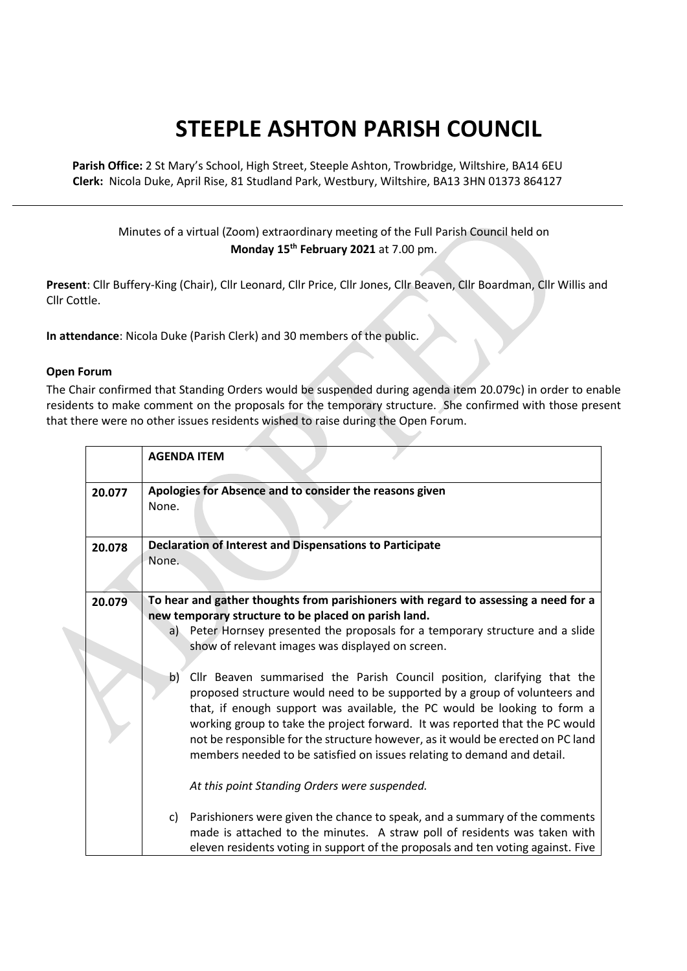## **STEEPLE ASHTON PARISH COUNCIL**

**Parish Office:** 2 St Mary's School, High Street, Steeple Ashton, Trowbridge, Wiltshire, BA14 6EU **Clerk:** Nicola Duke, April Rise, 81 Studland Park, Westbury, Wiltshire, BA13 3HN 01373 864127

## Minutes of a virtual (Zoom) extraordinary meeting of the Full Parish Council held on **Monday 15th February 2021** at 7.00 pm.

**Present**: Cllr Buffery-King (Chair), Cllr Leonard, Cllr Price, Cllr Jones, Cllr Beaven, Cllr Boardman, Cllr Willis and Cllr Cottle.

**In attendance**: Nicola Duke (Parish Clerk) and 30 members of the public.

## **Open Forum**

The Chair confirmed that Standing Orders would be suspended during agenda item 20.079c) in order to enable residents to make comment on the proposals for the temporary structure. She confirmed with those present that there were no other issues residents wished to raise during the Open Forum.

|        | <b>AGENDA ITEM</b>                                                                                                                                                                                                                                                                                                                                                                                                                                                                    |
|--------|---------------------------------------------------------------------------------------------------------------------------------------------------------------------------------------------------------------------------------------------------------------------------------------------------------------------------------------------------------------------------------------------------------------------------------------------------------------------------------------|
| 20.077 | Apologies for Absence and to consider the reasons given<br>None.                                                                                                                                                                                                                                                                                                                                                                                                                      |
| 20.078 | <b>Declaration of Interest and Dispensations to Participate</b><br>None.                                                                                                                                                                                                                                                                                                                                                                                                              |
| 20.079 | To hear and gather thoughts from parishioners with regard to assessing a need for a<br>new temporary structure to be placed on parish land.<br>a) Peter Hornsey presented the proposals for a temporary structure and a slide<br>show of relevant images was displayed on screen.                                                                                                                                                                                                     |
|        | b)<br>Cllr Beaven summarised the Parish Council position, clarifying that the<br>proposed structure would need to be supported by a group of volunteers and<br>that, if enough support was available, the PC would be looking to form a<br>working group to take the project forward. It was reported that the PC would<br>not be responsible for the structure however, as it would be erected on PC land<br>members needed to be satisfied on issues relating to demand and detail. |
|        | At this point Standing Orders were suspended.<br>Parishioners were given the chance to speak, and a summary of the comments<br>C)                                                                                                                                                                                                                                                                                                                                                     |
|        | made is attached to the minutes. A straw poll of residents was taken with<br>eleven residents voting in support of the proposals and ten voting against. Five                                                                                                                                                                                                                                                                                                                         |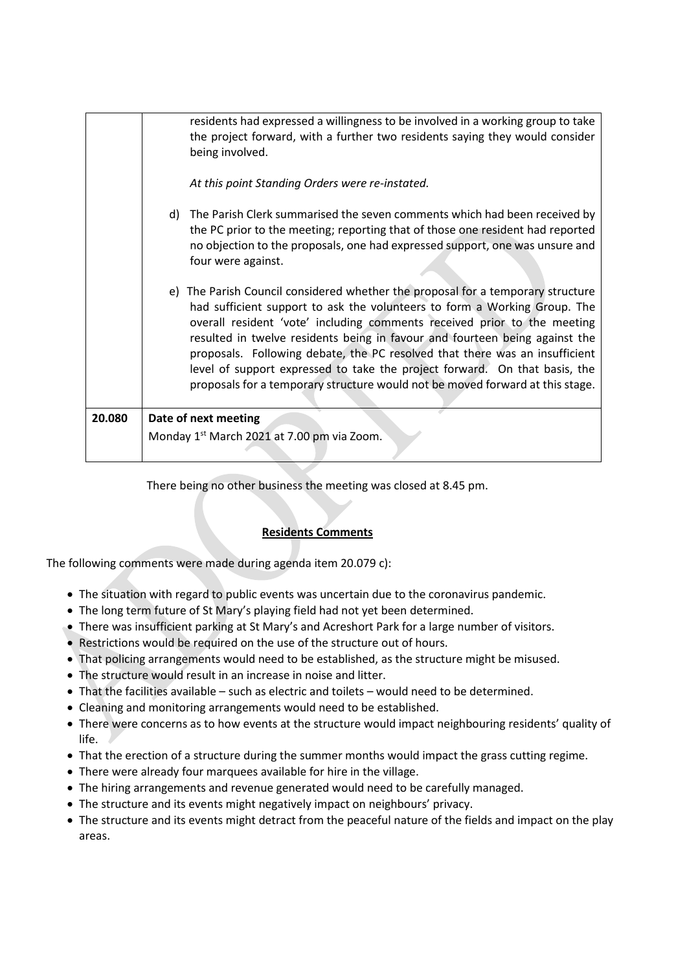| 20.080 | Date of next meeting<br>Monday 1 <sup>st</sup> March 2021 at 7.00 pm via Zoom.                                                                                                                                                                                                                                                                                                                                                                                                                                                                                        |
|--------|-----------------------------------------------------------------------------------------------------------------------------------------------------------------------------------------------------------------------------------------------------------------------------------------------------------------------------------------------------------------------------------------------------------------------------------------------------------------------------------------------------------------------------------------------------------------------|
|        | e) The Parish Council considered whether the proposal for a temporary structure<br>had sufficient support to ask the volunteers to form a Working Group. The<br>overall resident 'vote' including comments received prior to the meeting<br>resulted in twelve residents being in favour and fourteen being against the<br>proposals. Following debate, the PC resolved that there was an insufficient<br>level of support expressed to take the project forward. On that basis, the<br>proposals for a temporary structure would not be moved forward at this stage. |
|        | d) The Parish Clerk summarised the seven comments which had been received by<br>the PC prior to the meeting; reporting that of those one resident had reported<br>no objection to the proposals, one had expressed support, one was unsure and<br>four were against.                                                                                                                                                                                                                                                                                                  |
|        | being involved.<br>At this point Standing Orders were re-instated.                                                                                                                                                                                                                                                                                                                                                                                                                                                                                                    |
|        | residents had expressed a willingness to be involved in a working group to take<br>the project forward, with a further two residents saying they would consider                                                                                                                                                                                                                                                                                                                                                                                                       |

There being no other business the meeting was closed at 8.45 pm.

## **Residents Comments**

The following comments were made during agenda item 20.079 c):

- The situation with regard to public events was uncertain due to the coronavirus pandemic.
- The long term future of St Mary's playing field had not yet been determined.
- There was insufficient parking at St Mary's and Acreshort Park for a large number of visitors.
- Restrictions would be required on the use of the structure out of hours.
- That policing arrangements would need to be established, as the structure might be misused.
- The structure would result in an increase in noise and litter.
- That the facilities available such as electric and toilets would need to be determined.
- Cleaning and monitoring arrangements would need to be established.
- There were concerns as to how events at the structure would impact neighbouring residents' quality of life.
- That the erection of a structure during the summer months would impact the grass cutting regime.
- There were already four marquees available for hire in the village.
- The hiring arrangements and revenue generated would need to be carefully managed.
- The structure and its events might negatively impact on neighbours' privacy.
- The structure and its events might detract from the peaceful nature of the fields and impact on the play areas.